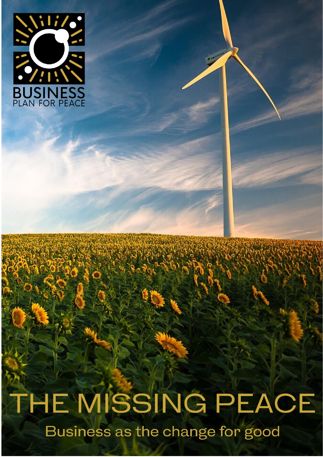

THE MISSING PEACE Business as the change for good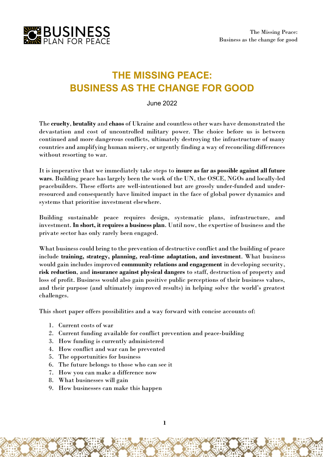

# **THE MISSING PEACE: BUSINESS AS THE CHANGE FOR GOOD**

June 2022

The **cruelty**, **brutality** and **chaos** of Ukraine and countless other wars have demonstrated the devastation and cost of uncontrolled military power. The choice before us is between continued and more dangerous conflicts, ultimately destroying the infrastructure of many countries and amplifying human misery, or urgently finding a way of reconciling differences without resorting to war.

It is imperative that we immediately take steps to **insure as far as possible against all future wars**. Building peace has largely been the work of the UN, the OSCE, NGOs and locally-led peacebuilders. These efforts are well-intentioned but are grossly under-funded and underresourced and consequently have limited impact in the face of global power dynamics and systems that prioritise investment elsewhere.

Building sustainable peace requires design, systematic plans, infrastructure, and investment. **In short, it requires a business plan**. Until now, the expertise of business and the private sector has only rarely been engaged.

What business could bring to the prevention of destructive conflict and the building of peace include **training, strategy, planning, real-time adaptation, and investment**. What business would gain includes improved **community relations and engagement** in developing security, **risk reduction**, and **insurance against physical dangers** to staff, destruction of property and loss of profit. Business would also gain positive public perceptions of their business values, and their purpose (and ultimately improved results) in helping solve the world's greatest challenges.

This short paper offers possibilities and a way forward with concise accounts of:

- 1. Current costs of war
- 2. Current funding available for conflict prevention and peace-building
- 3. How funding is currently administered
- 4. How conflict and war can be prevented
- 5. The opportunities for business
- 6. The future belongs to those who can see it
- 7. How you can make a difference now
- 8. What businesses will gain
- 9. How businesses can make this happen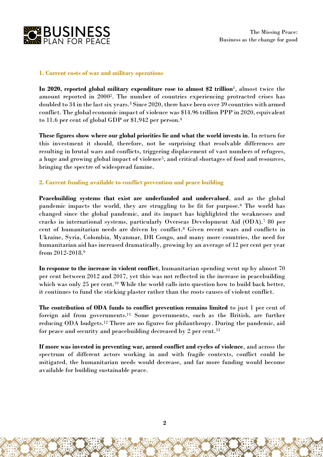

## **1. Current costs of war and military operations**

**In 2020, reported global military expenditure rose to almost \$2 trillion**<sup>1</sup> , almost twice the amount reported in 2000<sup>2</sup> . The number of countries experiencing protracted crises has doubled to 34 in the last six years.<sup>3</sup> Since 2020, there have been over 39 countries with armed conflict. The global economic impact of violence was \$14.96 trillion PPP in 2020, equivalent to 11.6 per cent of global GDP or \$1,942 per person.<sup>4</sup>

**These figures show where our global priorities lie and what the world invests in**. In return for this investment it should, therefore, not be surprising that resolvable differences are resulting in brutal wars and conflicts, triggering displacement of vast numbers of refugees, a huge and growing global impact of violence<sup>5</sup>, and critical shortages of food and resources, bringing the spectre of widespread famine.

# **2. Current funding available to conflict prevention and peace building**

**Peacebuilding systems that exist are underfunded and undervalued**, and as the global pandemic impacts the world, they are struggling to be fit for purpose.<sup>6</sup> The world has changed since the global pandemic, and its impact has highlighted the weaknesses and cracks in international systems, particularly Overseas Development Aid (ODA).<sup>7</sup> 80 per cent of humanitarian needs are driven by conflict.<sup>8</sup> Given recent wars and conflicts in Ukraine, Syria, Colombia, Myanmar, DR Congo, and many more countries, the need for humanitarian aid has increased dramatically, growing by an average of 12 per cent per year from 2012-2018.<sup>9</sup>

**In response to the increase in violent conflict**, humanitarian spending went up by almost 70 per cent between 2012 and 2017, yet this was not reflected in the increase in peacebuilding which was only 25 per cent.<sup>10</sup> While the world calls into question how to build back better, it continues to fund the sticking plaster rather than the roots causes of violent conflict.

**The contribution of ODA funds to conflict prevention remains limited** to just 1 per cent of foreign aid from governments.<sup>11</sup> Some governments, such as the British, are further reducing ODA budgets.<sup>12</sup> There are no figures for philanthropy. During the pandemic, aid for peace and security and peacebuilding decreased by 2 per cent.<sup>13</sup>

**If more was invested in preventing war, armed conflict and cycles of violence**, and across the spectrum of different actors working in and with fragile contexts, conflict could be mitigated, the humanitarian needs would decrease, and far more funding would become available for building sustainable peace.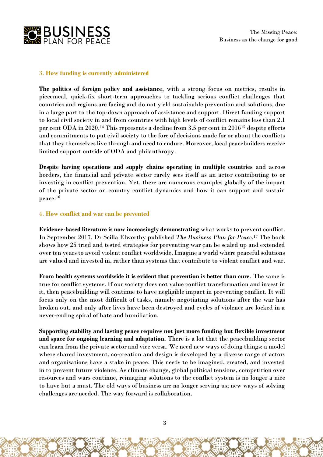

# 3. **How funding is currently administered**

**The politics of foreign policy and assistance**, with a strong focus on metrics, results in piecemeal, quick-fix short-term approaches to tackling serious conflict challenges that countries and regions are facing and do not yield sustainable prevention and solutions, due in a large part to the top-down approach of assistance and support. Direct funding support to local civil society in and from countries with high levels of conflict remains less than 2.1 per cent ODA in 2020.<sup>14</sup> This represents a decline from 3.5 per cent in 2016<sup>15</sup> despite efforts and commitments to put civil society to the fore of decisions made for or about the conflicts that they themselves live through and need to endure. Moreover, local peacebuilders receive limited support outside of ODA and philanthropy.

**Despite having operations and supply chains operating in multiple countries** and across borders, the financial and private sector rarely sees itself as an actor contributing to or investing in conflict prevention. Yet, there are numerous examples globally of the impact of the private sector on country conflict dynamics and how it can support and sustain peace.<sup>16</sup>

# 4. **How conflict and war can be prevented**

**Evidence-based literature is now increasingly demonstrating** what works to prevent conflict. In September 2017, Dr Scilla Elworthy published *The Business Plan for Peace*. <sup>17</sup> The book shows how 25 tried and tested strategies for preventing war can be scaled up and extended over ten years to avoid violent conflict worldwide. Imagine a world where peaceful solutions are valued and invested in, rather than systems that contribute to violent conflict and war.

**From health systems worldwide it is evident that prevention is better than cure**. The same is true for conflict systems. If our society does not value conflict transformation and invest in it, then peacebuilding will continue to have negligible impact in preventing conflict. It will focus only on the most difficult of tasks, namely negotiating solutions after the war has broken out, and only after lives have been destroyed and cycles of violence are locked in a never-ending spiral of hate and humiliation.

**Supporting stability and lasting peace requires not just more funding but flexible investment and space for ongoing learning and adaptation.** There is a lot that the peacebuilding sector can learn from the private sector and vice versa. We need new ways of doing things: a model where shared investment, co-creation and design is developed by a diverse range of actors and organisations have a stake in peace. This needs to be imagined, created, and invested in to prevent future violence. As climate change, global political tensions, competition over resources and wars continue, reimaging solutions to the conflict system is no longer a nice to have but a must. The old ways of business are no longer serving us; new ways of solving challenges are needed. The way forward is collaboration.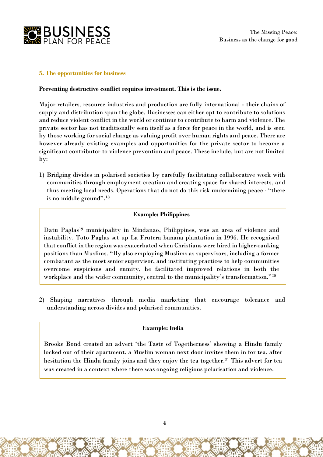

## **5. The opportunities for business**

#### **Preventing destructive conflict requires investment. This is the issue.**

Major retailers, resource industries and production are fully international - their chains of supply and distribution span the globe. Businesses can either opt to contribute to solutions and reduce violent conflict in the world or continue to contribute to harm and violence. The private sector has not traditionally seen itself as a force for peace in the world, and is seen by those working for social change as valuing profit over human rights and peace. There are however already existing examples and opportunities for the private sector to become a significant contributor to violence prevention and peace. These include, but are not limited by:

1) Bridging divides in polarised societies by carefully facilitating collaborative work with communities through employment creation and creating space for shared interests, and thus meeting local needs. Operations that do not do this risk undermining peace - "there is no middle ground".<sup>18</sup>

# **Example: Philippines**

Datu Paglas<sup>19</sup> municipality in Mindanao, Philippines, was an area of violence and instability. Toto Paglas set up La Frutera banana plantation in 1996. He recognised that conflict in the region was exacerbated when Christians were hired in higher-ranking positions than Muslims. "By also employing Muslims as supervisors, including a former combatant as the most senior supervisor, and instituting practices to help communities overcome suspicions and enmity, he facilitated improved relations in both the workplace and the wider community, central to the municipality's transformation." 20

2) Shaping narratives through media marketing that encourage tolerance and understanding across divides and polarised communities.

# **Example: India**

Brooke Bond created an advert 'the Taste of Togetherness' showing a Hindu family locked out of their apartment, a Muslim woman next door invites them in for tea, after hesitation the Hindu family joins and they enjoy the tea together.<sup>21</sup> This advert for tea was created in a context where there was ongoing religious polarisation and violence.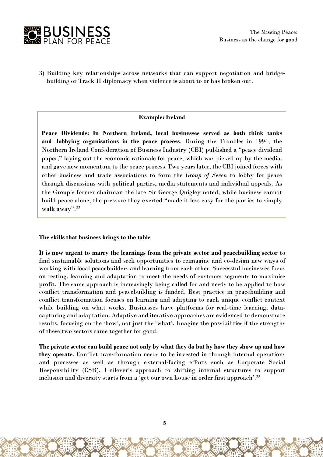

3) Building key relationships across networks that can support negotiation and bridgebuilding or Track II diplomacy when violence is about to or has broken out.

#### **Example: Ireland**

**Peace Dividends: In Northern Ireland, local businesses served as both think tanks and lobbying organisations in the peace process**. During the Troubles in 1994, the Northern Ireland Confederation of Business Industry (CBI) published a "peace dividend paper," laying out the economic rationale for peace, which was picked up by the media, and gave new momentum to the peace process.Two years later, the CBI joined forces with other business and trade associations to form the *Group of Seven* to lobby for peace through discussions with political parties, media statements and individual appeals. As the Group's former chairman the late Sir George Quigley noted, while business cannot build peace alone, the pressure they exerted "made it less easy for the parties to simply walk away". 22

#### **The skills that business brings to the table**

**It is now urgent to marry the learnings from the private sector and peacebuilding sector** to find sustainable solutions and seek opportunities to reimagine and co-design new ways of working with local peacebuilders and learning from each other. Successful businesses focus on testing, learning and adaptation to meet the needs of customer segments to maximise profit. The same approach is increasingly being called for and needs to be applied to how conflict transformation and peacebuilding is funded. Best practice in peacebuilding and conflict transformation focuses on learning and adapting to each unique conflict context while building on what works. Businesses have platforms for real-time learning, datacapturing and adaptation. Adaptive and iterative approaches are evidenced to demonstrate results, focusing on the 'how', not just the 'what'. Imagine the possibilities if the strengths of these two sectors came together for good.

The private sector can build peace not only by what they do but by how they show up and how **they operate**. Conflict transformation needs to be invested in through internal operations and processes as well as through external-facing efforts such as Corporate Social Responsibility (CSR). Unilever's approach to shifting internal structures to support inclusion and diversity starts from a 'get our own house in order first approach'.<sup>23</sup>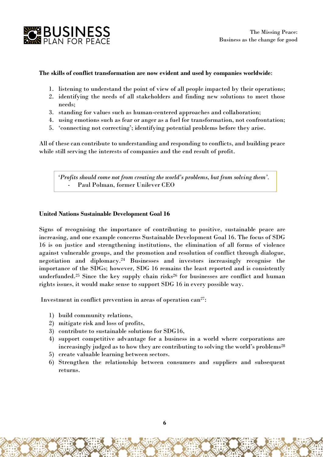

## **The skills of conflict transformation are now evident and used by companies worldwide**:

- 1. listening to understand the point of view of all people impacted by their operations;
- 2. identifying the needs of all stakeholders and finding new solutions to meet those needs;
- 3. standing for values such as human-centered approaches and collaboration;
- 4. using emotions such as fear or anger as a fuel for transformation, not confrontation;
- 5. 'connecting not correcting'; identifying potential problems before they arise.

All of these can contribute to understanding and responding to conflicts, and building peace while still serving the interests of companies and the end result of profit.

*'Profits should come not from creating the world's problems, but from solving them'.*  Paul Polman, former Unilever CEO

## **United Nations Sustainable Development Goal 16**

Signs of recognising the importance of contributing to positive, sustainable peace are increasing, and one example concerns Sustainable Development Goal 16. The focus of SDG 16 is on justice and strengthening institutions, the elimination of all forms of violence against vulnerable groups, and the promotion and resolution of conflict through dialogue, negotiation and diplomacy.<sup>24</sup> Businesses and investors increasingly recognise the importance of the SDGs; however, SDG 16 remains the least reported and is consistently underfunded.<sup>25</sup> Since the key supply chain risks<sup>26</sup> for businesses are conflict and human rights issues, it would make sense to support SDG 16 in every possible way.

Investment in conflict prevention in areas of operation can<sup>27</sup>:

- 1) build community relations,
- 2) mitigate risk and loss of profits,
- 3) contribute to sustainable solutions for SDG16,
- 4) support competitive advantage for a business in a world where corporations are increasingly judged as to how they are contributing to solving the world's problems<sup>28</sup>
- 5) create valuable learning between sectors.
- 6) Strengthen the relationship between consumers and suppliers and subsequent returns.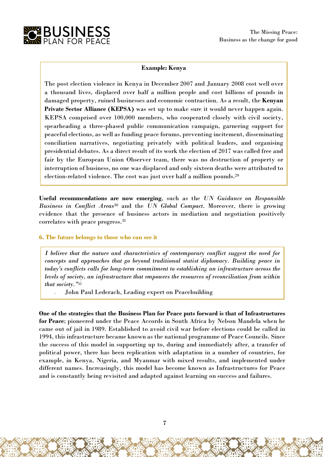

## **Example: Kenya**

The post election violence in Kenya in December 2007 and January 2008 cost well over a thousand lives, displaced over half a million people and cost billions of pounds in damaged property, ruined businesses and economic contraction. As a result, the **Kenyan Private Sector Alliance (KEPSA)** was set up to make sure it would never happen again. KEPSA comprised over 100,000 members, who cooperated closely with civil society, spearheading a three-phased public communication campaign, garnering support for peaceful elections, as well as funding peace forums, preventing incitement, disseminating conciliation narratives, negotiating privately with political leaders, and organising presidential debates. As a direct result of its work the election of 2017 was called free and fair by the European Union Observer team, there was no destruction of property or interruption of business, no one was displaced and only sixteen deaths were attributed to election-related violence. The cost was just over half a million pounds.<sup>29</sup>

**Useful recommendations are now emerging**, such as the *UN Guidance on Responsible Business in Conflict Areas*<sup>30</sup> and the *UN Global Compact*. Moreover, there is growing evidence that the presence of business actors in mediation and negotiation positively correlates with peace progress.<sup>31</sup>

#### **6. The future belongs to those who can see it**

*I believe that the nature and characteristics of contemporary conflict suggest the need for concepts and approaches that go beyond traditional statist diplomacy. Building peace in today's conflicts calls for long-term commitment to establishing an infrastructure across the levels of society, an infrastructure that empowers the resources of reconciliation from within that society."*<sup>32</sup>

*-* John Paul Lederach, Leading expert on Peacebuilding

**One of the strategies that the Business Plan for Peace puts forward is that of Infrastructures for Peace**; pioneered under the Peace Accords in South Africa by Nelson Mandela when he came out of jail in 1989. Established to avoid civil war before elections could be called in 1994, this infrastructure became known as the national programme of Peace Councils. Since the success of this model in supporting up to, during and immediately after, a transfer of political power, there has been replication with adaptation in a number of countries, for example, in Kenya, Nigeria, and Myanmar with mixed results, and implemented under different names. Increasingly, this model has become known as Infrastructures for Peace and is constantly being revisited and adapted against learning on success and failures.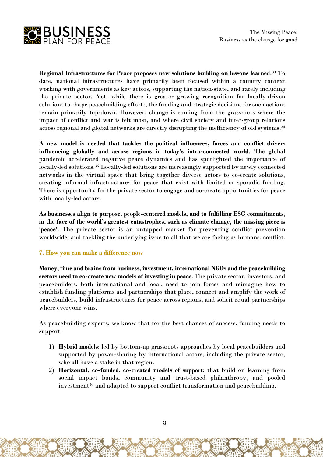

**Regional Infrastructures for Peace proposes new solutions building on lessons learned**. <sup>33</sup> To date, national infrastructures have primarily been focused within a country context working with governments as key actors, supporting the nation-state, and rarely including the private sector. Yet, while there is greater growing recognition for locally-driven solutions to shape peacebuilding efforts, the funding and strategic decisions for such actions remain primarily top-down. However, change is coming from the grassroots where the impact of conflict and war is felt most, and where civil society and inter-group relations across regional and global networks are directly disrupting the inefficiency of old systems.<sup>34</sup>

**A new model is needed that tackles the political influences, forces and conflict drivers influencing globally and across regions in today's intra-connected world**. The global pandemic accelerated negative peace dynamics and has spotlighted the importance of locally-led solutions.<sup>35</sup> Locally-led solutions are increasingly supported by newly connected networks in the virtual space that bring together diverse actors to co-create solutions, creating informal infrastructures for peace that exist with limited or sporadic funding. There is opportunity for the private sector to engage and co-create opportunities for peace with locally-led actors.

**As businesses align to purpose, people-centered models, and to fulfilling ESG commitments, in the face of the world's greatest catastrophes, such as climate change, the missing piece is 'peace'**. The private sector is an untapped market for preventing conflict prevention worldwide, and tackling the underlying issue to all that we are facing as humans, conflict.

# **7. How you can make a difference now**

**Money, time and brains from business, investment, international NGOs and the peacebuilding sectors need to co-create new models of investing in peace**. The private sector, investors, and peacebuilders, both international and local, need to join forces and reimagine how to establish funding platforms and partnerships that place, connect and amplify the work of peacebuilders, build infrastructures for peace across regions, and solicit equal partnerships where everyone wins.

As peacebuilding experts, we know that for the best chances of success, funding needs to support:

- 1) **Hybrid models**: led by bottom-up grassroots approaches by local peacebuilders and supported by power-sharing by international actors, including the private sector, who all have a stake in that region.
- 2) **Horizontal, co-funded, co-created models of support**: that build on learning from social impact bonds, community and trust-based philanthropy, and pooled investment<sup>36</sup> and adapted to support conflict transformation and peacebuilding.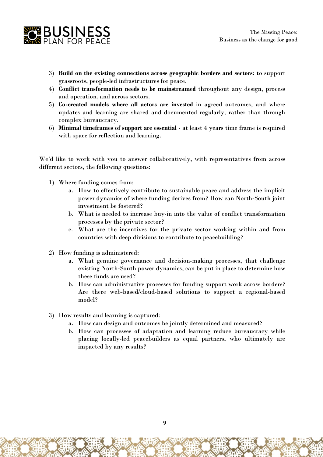

- 3) **Build on the existing connections across geographic borders and sectors**: to support grassroots, people-led infrastructures for peace.
- 4) **Conflict transformation needs to be mainstreamed** throughout any design, process and operation, and across sectors.
- 5) **Co-created models where all actors are invested** in agreed outcomes, and where updates and learning are shared and documented regularly, rather than through complex bureaucracy.
- 6) **Minimal timeframes of support are essential** at least 4 years time frame is required with space for reflection and learning.

We'd like to work with you to answer collaboratively, with representatives from across different sectors, the following questions:

- 1) Where funding comes from:
	- a. How to effectively contribute to sustainable peace and address the implicit power dynamics of where funding derives from? How can North-South joint investment be fostered?
	- b. What is needed to increase buy-in into the value of conflict transformation processes by the private sector?
	- c. What are the incentives for the private sector working within and from countries with deep divisions to contribute to peacebuilding?
- 2) How funding is administered:
	- a. What genuine governance and decision-making processes, that challenge existing North-South power dynamics, can be put in place to determine how these funds are used?
	- b. How can administrative processes for funding support work across borders? Are there web-based/cloud-based solutions to support a regional-based model?
- 3) How results and learning is captured:
	- a. How can design and outcomes be jointly determined and measured?
	- b. How can processes of adaptation and learning reduce bureaucracy while placing locally-led peacebuilders as equal partners, who ultimately are impacted by any results?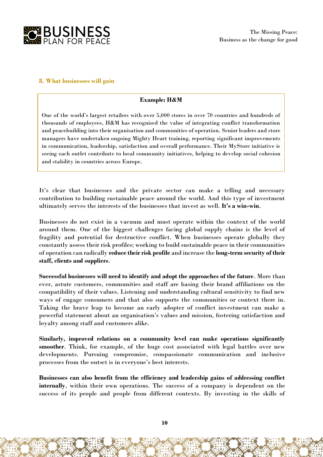

## **8. What businesses will gain**

# **Example: H&M**

One of the world's largest retailers with over 5,000 stores in over 70 countries and hundreds of thousands of employees, H&M has recognised the value of integrating conflict transformation and peacebuilding into their organisation and communities of operation. Senior leaders and store managers have undertaken ongoing Mighty Heart training, reporting significant improvements in communication, leadership, satisfaction and overall performance. Their MyStore initiative is seeing each outlet contribute to local community initiatives, helping to develop social cohesion and stability in countries across Europe.

It's clear that businesses and the private sector can make a telling and necessary contribution to building sustainable peace around the world. And this type of investment ultimately serves the interests of the businesses that invest as well. **It's a win-win**.

Businesses do not exist in a vacuum and must operate within the context of the world around them. One of the biggest challenges facing global supply chains is the level of fragility and potential for destructive conflict. When businesses operate globally they constantly assess their risk profiles; working to build sustainable peace in their communities of operation can radically **reduce their risk profile** and increase the **long-term security of their staff, clients and suppliers**.

**Successful businesses will need to identify and adopt the approaches of the future**. More than ever, astute customers, communities and staff are basing their brand affiliations on the compatibility of their values. Listening and understanding cultural sensitivity to find new ways of engage consumers and that also supports the communities or context there in. Taking the brave leap to become an early adopter of conflict investment can make a powerful statement about an organisation's values and mission, fostering satisfaction and loyalty among staff and customers alike.

**Similarly, improved relations on a community level can make operations significantly smoother**. Think, for example, of the huge cost associated with legal battles over new developments. Pursuing compromise, compassionate communication and inclusive processes from the outset is in everyone's best interests.

**Businesses can also benefit from the efficiency and leadership gains of addressing conflict internally**, within their own operations. The success of a company is dependent on the success of its people and people from different contexts. By investing in the skills of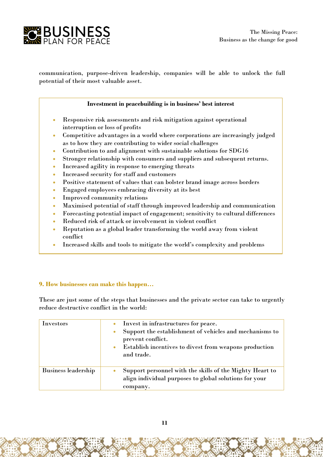

communication, purpose-driven leadership, companies will be able to unlock the full potential of their most valuable asset.

#### **Investment in peacebuilding is in business' best interest**

- Responsive risk assessments and risk mitigation against operational interruption or loss of profits
- Competitive advantages in a world where corporations are increasingly judged as to how they are contributing to wider social challenges
- Contribution to and alignment with sustainable solutions for SDG16
- Stronger relationship with consumers and suppliers and subsequent returns.
- Increased agility in response to emerging threats
- Increased security for staff and customers
- Positive statement of values that can bolster brand image across borders
- Engaged employees embracing diversity at its best
- Improved community relations
- Maximised potential of staff through improved leadership and communication
- Forecasting potential impact of engagement; sensitivity to cultural differences
- Reduced risk of attack or involvement in violent conflict
- Reputation as a global leader transforming the world away from violent conflict
- Increased skills and tools to mitigate the world's complexity and problems

#### **9. How businesses can make this happen…**

These are just some of the steps that businesses and the private sector can take to urgently reduce destructive conflict in the world:

| Investors                  | Invest in infrastructures for peace.<br>Support the establishment of vehicles and mechanisms to<br>prevent conflict.<br>Establish incentives to divest from weapons production<br>and trade. |
|----------------------------|----------------------------------------------------------------------------------------------------------------------------------------------------------------------------------------------|
| <b>Business leadership</b> | Support personnel with the skills of the Mighty Heart to<br>align individual purposes to global solutions for your<br>company.                                                               |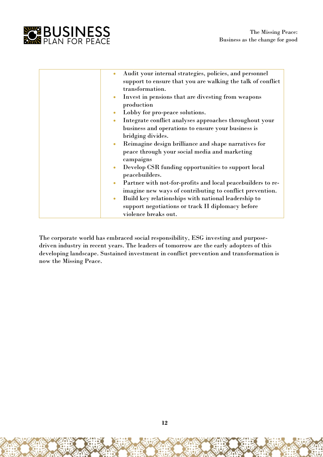

| Audit your internal strategies, policies, and personnel<br>$\bullet$ |
|----------------------------------------------------------------------|
| support to ensure that you are walking the talk of conflict          |
| transformation.                                                      |
| Invest in pensions that are divesting from weapons<br>$\bullet$      |
| production                                                           |
| Lobby for pro-peace solutions.<br>۰                                  |
| Integrate conflict analyses approaches throughout your<br>$\bullet$  |
| business and operations to ensure your business is                   |
| bridging divides.                                                    |
| Reimagine design brilliance and shape narratives for<br>$\bullet$    |
| peace through your social media and marketing                        |
| campaigns                                                            |
| Develop CSR funding opportunities to support local<br>$\bullet$      |
| peacebuilders.                                                       |
| Partner with not-for-profits and local peacebuilders to re-<br>٠     |
| imagine new ways of contributing to conflict prevention.             |
| Build key relationships with national leadership to<br>$\bullet$     |
| support negotiations or track II diplomacy before                    |
| violence breaks out.                                                 |

The corporate world has embraced social responsibility, ESG investing and purposedriven industry in recent years. The leaders of tomorrow are the early adopters of this developing landscape. Sustained investment in conflict prevention and transformation is now the Missing Peace.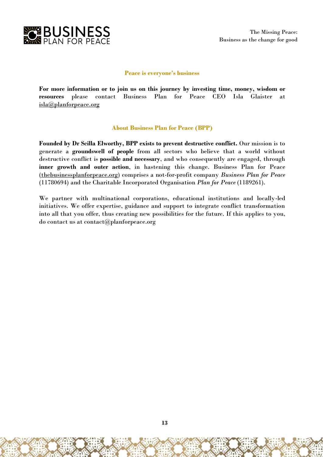

#### **Peace is everyone's business**

**For more information or to join us on this journey by investing time, money, wisdom or resources** please contact Business Plan for Peace CEO Isla Glaister at [isla@planforpeace.org](mailto:isla@planforpeace.org)

#### **About Business Plan for Peace (BPP)**

**Founded by Dr Scilla Elworthy, BPP exists to prevent destructive conflict.** Our mission is to generate a **groundswell of people** from all sectors who believe that a world without destructive conflict is **possible and necessary**, and who consequently are engaged, through **inner growth and outer action**, in hastening this change. Business Plan for Peace [\(thebusinessplanforpeace.org\)](http://thebusinessplanforpeace.org/) comprises a not-for-profit company *Business Plan for Peace* (11780694) and the Charitable Incorporated Organisation *Plan for Peace* (1189261).

We partner with multinational corporations, educational institutions and locally-led initiatives. We offer expertise, guidance and support to integrate conflict transformation into all that you offer, thus creating new possibilities for the future. If this applies to you, do contact us at contact@planforpeace.org